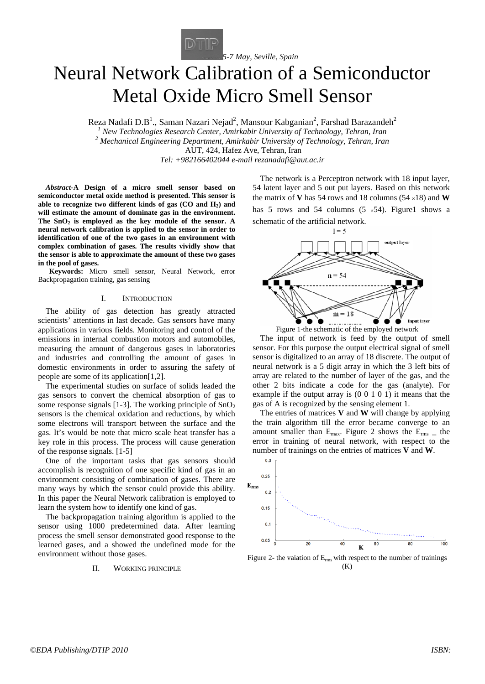

# Neural Network Calibration of a Semiconductor Metal Oxide Micro Smell Sensor

Reza Nadafi D.B<sup>1</sup>., Saman Nazari Nejad<sup>2</sup>, Mansour Kabganian<sup>2</sup>, Farshad Barazandeh<sup>2</sup>

*<sup>1</sup> New Technologies Research Center, Amirkabir University of Technology, Tehran, Iran <sup>2</sup> Mechanical Engineering Department, Amirkabir University of Technology, Tehran, Iran* AUT, 424, Hafez Ave, Tehran, Iran

*Tel: +982166402044 e-mail rezanadafi@aut.ac.ir*

*Abstract-***A Design of a micro smell sensor based on semiconductor metal oxide method is presented. This sensor is able to recognize two different kinds of gas (CO and H2) and will estimate the amount of dominate gas in the environment.**  The  $SnO<sub>2</sub>$  is employed as the key module of the sensor. A **neural network calibration is applied to the sensor in order to identification of one of the two gases in an environment with complex combination of gases. The results vividly show that the sensor is able to approximate the amount of these two gases in the pool of gases.**

**Keywords:** Micro smell sensor, Neural Network, error Backpropagation training, gas sensing

#### I. INTRODUCTION

The ability of gas detection has greatly attracted scientists' attentions in last decade. Gas sensors have many applications in various fields. Monitoring and control of the emissions in internal combustion motors and automobiles, measuring the amount of dangerous gases in laboratories and industries and controlling the amount of gases in domestic environments in order to assuring the safety of people are some of its application[1,2].

The experimental studies on surface of solids leaded the gas sensors to convert the chemical absorption of gas to some response signals [1-3]. The working principle of  $SnO<sub>2</sub>$ sensors is the chemical oxidation and reductions, by which some electrons will transport between the surface and the gas. It's would be note that micro scale heat transfer has a key role in this process. The process will cause generation of the response signals. [1-5]

One of the important tasks that gas sensors should accomplish is recognition of one specific kind of gas in an environment consisting of combination of gases. There are many ways by which the sensor could provide this ability. In this paper the Neural Network calibration is employed to learn the system how to identify one kind of gas.

The backpropagation training algorithm is applied to the sensor using 1000 predetermined data. After learning process the smell sensor demonstrated good response to the learned gases, and a showed the undefined mode for the environment without those gases.

## II. WORKING PRINCIPLE

The network is a Perceptron network with 18 input layer, 54 latent layer and 5 out put layers. Based on this network the matrix of **V** has 54 rows and 18 columns  $(54 \times 18)$  and **W** 

has 5 rows and 54 columns  $(5 \times 54)$ . Figure1 shows a schematic of the artificial network.  $1 = 5$ 



Figure 1-the schematic of the employed network

The input of network is feed by the output of smell sensor. For this purpose the output electrical signal of smell sensor is digitalized to an array of 18 discrete. The output of neural network is a 5 digit array in which the 3 left bits of array are related to the number of layer of the gas, and the other 2 bits indicate a code for the gas (analyte). For example if the output array is (0 0 1 0 1) it means that the gas of A is recognized by the sensing element 1.

The entries of matrices **V** and **W** will change by applying the train algorithm till the error became converge to an amount smaller than  $E_{\text{max}}$ . Figure 2 shows the  $E_{\text{rms}}$   $\mu$  the error in training of neural network, with respect to the number of trainings on the entries of matrices **V** and **W**.



Figure 2- the vaiation of  $E_{rms}$  with respect to the number of trainings (K)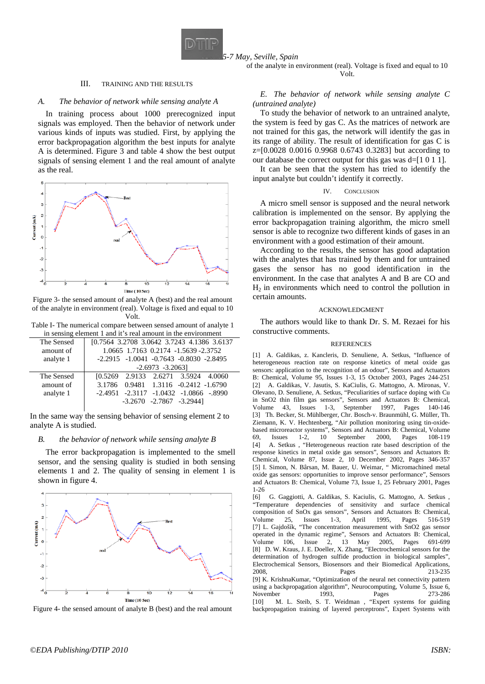

*5-7 May, Seville, Spain*

of the analyte in environment (real). Voltage is fixed and equal to 10 Volt.

# III. TRAINING AND THE RESULTS

### *A. The behavior of network while sensing analyte A*

In training process about 1000 prerecognized input signals was employed. Then the behavior of network under various kinds of inputs was studied. First, by applying the error backpropagation algorithm the best inputs for analyte A is determined. Figure 3 and table 4 show the best output signals of sensing element 1 and the real amount of analyte as the real.



Figure 3- the sensed amount of analyte A (best) and the real amount of the analyte in environment (real). Voltage is fixed and equal to 10 Volt.

Table I- The numerical compare between sensed amount of analyte 1 in sensing element 1 and it's real amount in the environment

| The Sensed | [0.7564 3.2708 3.0642 3.7243 4.1386 3.6137        |
|------------|---------------------------------------------------|
| amount of  | 1.0665 1.7163 0.2174 -1.5639 -2.3752              |
| analyte 1  | $-2.2915$ $-1.0041$ $-0.7643$ $-0.8030$ $-2.8495$ |
|            | $-2.6973 -3.2063$                                 |
| The Sensed | [0.5269 2.9133 2.6271 3.5924 4.0060               |
| amount of  | 3.1786 0.9481 1.3116 -0.2412 -1.6790              |
| analyte 1  | $-2.4951$ $-2.3117$ $-1.0432$ $-1.0866$ $-8990$   |
|            | $-3.2670$ $-2.7867$ $-3.29441$                    |
|            |                                                   |

In the same way the sensing behavior of sensing element 2 to analyte A is studied.

#### *B. the behavior of network while sensing analyte B*

The error backpropagation is implemented to the smell sensor, and the sensing quality is studied in both sensing elements 1 and 2. The quality of sensing in element 1 is shown in figure 4.



Figure 4- the sensed amount of analyte B (best) and the real amount

# *E. The behavior of network while sensing analyte C (untrained analyte)*

To study the behavior of network to an untrained analyte, the system is feed by gas C. As the matrices of network are not trained for this gas, the network will identify the gas in its range of ability. The result of identification for gas C is z=[0.0028 0.0016 0.9968 0.6743 0.3283] but according to our database the correct output for this gas was d=[1 0 1 1].

It can be seen that the system has tried to identify the input analyte but couldn't identify it correctly.

#### CONCLUSION

A micro smell sensor is supposed and the neural network calibration is implemented on the sensor. By applying the error backpropagation training algorithm, the micro smell sensor is able to recognize two different kinds of gases in an environment with a good estimation of their amount.

According to the results, the sensor has good adaptation with the analytes that has trained by them and for untrained gases the sensor has no good identification in the environment. In the case that analytes A and B are CO and  $H_2$  in environments which need to control the pollution in certain amounts.

#### ACKNOWLEDGMENT

The authors would like to thank Dr. S. M. Rezaei for his constructive comments.

#### **REFERENCES**

[1] A. Galdikas, z. Kancleris, D. Senuliene, A. Setkus, "Influence of heterogeneous reaction rate on response kinetics of metal oxide gas sensors: application to the recognition of an odour", Sensors and Actuators B: Chemical, Volume 95, Issues 1-3, 15 October 2003, Pages 244-251 [2] A. Galdikas, V. Jasutis, S. KaCiulis, G. Mattogno, A. Mironas, V. Olevano, D. Senuliene, A. Setkus, "Peculiarities of surface doping with Cu in SnO2 thin film gas sensors", Sensors and Actuators B: Chemical, Volume 43, Issues 1-3, September 1997, Pages 140-146 [3] Th. Becker, St. Mühlberger, Chr. Bosch-v. Braunmühl, G. Müller, Th. Ziemann, K. V. Hechtenberg, "Air pollution monitoring using tin-oxidebased microreactor systems", Sensors and Actuators B: Chemical, Volume 69, Issues 1-2, 10 September 2000, Pages 108-119 [4] A. Setkus , "Heterogeneous reaction rate based description of the response kinetics in metal oxide gas sensors", Sensors and Actuators B: Chemical, Volume 87, Issue 2, 10 December 2002, Pages 346-357 [5] I. Simon, N. Bârsan, M. Bauer, U. Weimar, " Micromachined metal oxide gas sensors: opportunities to improve sensor performance", Sensors and Actuators B: Chemical, Volume 73, Issue 1, 25 February 2001, Pages 1-26

[6] G. Gaggiotti, A. Galdikas, S. Kaciulis, G. Mattogno, A. Setkus , "Temperature dependencies of sensitivity and surface chemical composition of SnOx gas sensors", Sensors and Actuators B: Chemical, Volume 25, Issues 1-3, April 1995, Pages 516-519 [7] L. Gajdošík, "The concentration measurement with SnO2 gas sensor operated in the dynamic regime", Sensors and Actuators B: Chemical, Volume 106, Issue 2, 13 May 2005, Pages 691-699 [8] D. W. Kraus, J. E. Doeller, X. Zhang, "Electrochemical sensors for the determination of hydrogen sulfide production in biological samples", Electrochemical Sensors, Biosensors and their Biomedical Applications, 2008, Pages 213-235 [9] K. KrishnaKumar, "Optimization of the neural net connectivity pattern using a backpropagation algorithm", Neurocomputing, Volume 5, Issue 6, November 1993, Pages 273-286 [10] M. L. Steib, S. T. Weidman, "Expert systems for guiding backpropagation training of layered perceptrons", Expert Systems with